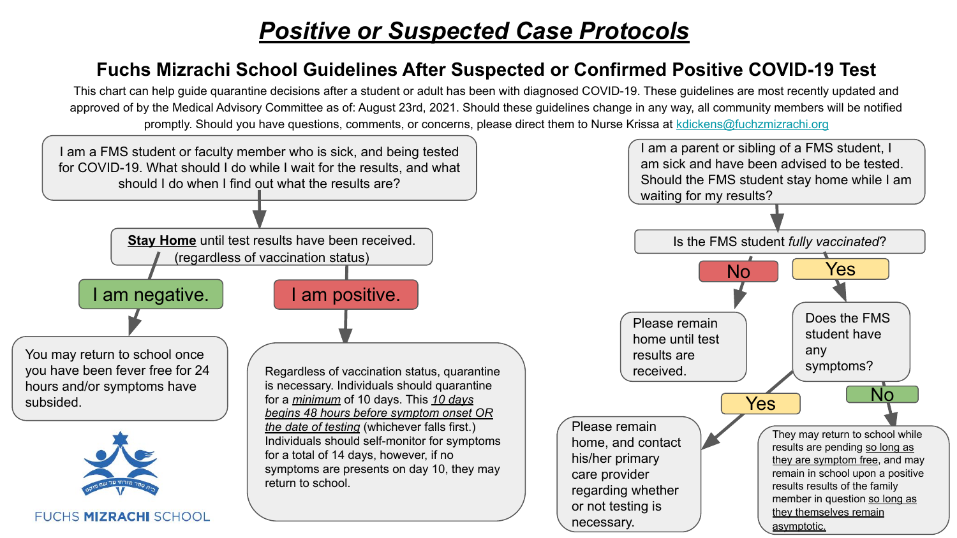# *Positive or Suspected Case Protocols*

#### **Fuchs Mizrachi School Guidelines After Suspected or Confirmed Positive COVID-19 Test**

This chart can help guide quarantine decisions after a student or adult has been with diagnosed COVID-19. These guidelines are most recently updated and approved of by the Medical Advisory Committee as of: August 23rd, 2021. Should these guidelines change in any way, all community members will be notified promptly. Should you have questions, comments, or concerns, please direct them to Nurse Krissa at [kdickens@fuchzmizrachi.org](mailto:kdickens@fuchzmizrachi.org)

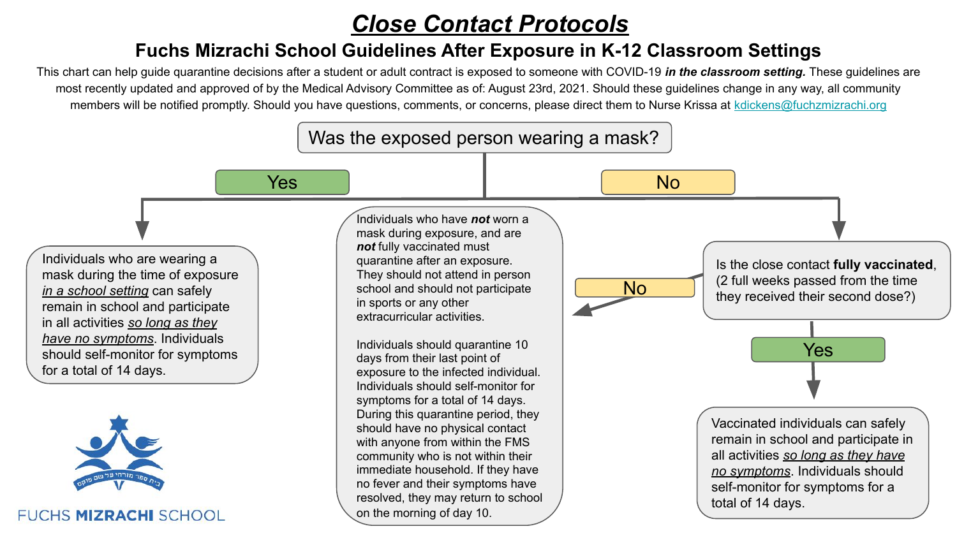## *Close Contact Protocols*

#### **Fuchs Mizrachi School Guidelines After Exposure in K-12 Classroom Settings**

This chart can help guide quarantine decisions after a student or adult contract is exposed to someone with COVID-19 *in the classroom setting.* These guidelines are most recently updated and approved of by the Medical Advisory Committee as of: August 23rd, 2021. Should these guidelines change in any way, all community members will be notified promptly. Should you have questions, comments, or concerns, please direct them to Nurse Krissa at [kdickens@fuchzmizrachi.org](mailto:kdickens@fuchzmizrachi.org)